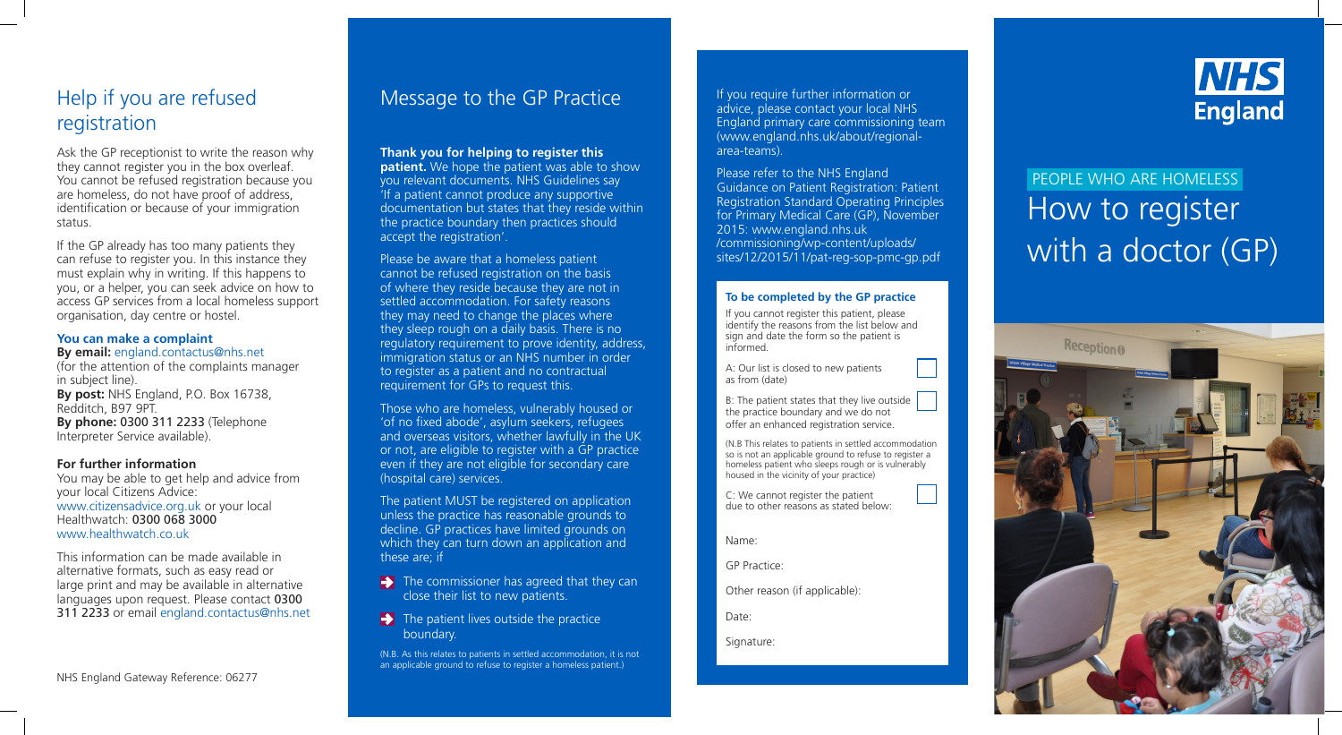Help if you are refused registration

Ask the GP receptionist to write the reason why they cannot register you in the box overleaf. You cannot be refused registration because you are homeless, do not have proof of address, identification or because of your immigration status.

If the GP already has too many patients they can refuse to register you. In this instance they must explain why in writing. If this happens to you, or a helper, you can seek advice on how to access GP services from a local homeless support organisation, day centre or hostel.

### **You can make a complaint**

### **By email:** england.contactus@nhs.net

(for the attention of the complaints manager in subject line). **By post:** NHS England, P.O. Box 16738, Redditch, B97 9PT. **By phone:** 0300 311 2233 (Telephone Interpreter Service available).

**patient.** We hope the patient was able to show you relevant documents. NHS Guidelines say 'If a patient cannot produce any supportive documentation but states that they reside within the practice boundary then practices should accept the registration'.

### **For further information**

You may be able to get help and advice from your local Citizens Advice: www.citizensadvice.org.uk or your local Healthwatch: 0300 068 3000 www.healthwatch.co.uk

This information can be made available in alternative formats, such as easy read or large print and may be available in alternative languages upon request. Please contact 0300 311 2233 or email england.contactus@nhs.net

 $\rightarrow$  The commissioner has agreed that they can close their list to new patients.

### **Thank you for helping to register this**

 $\rightarrow$  The patient lives outside the practice boundary.

Please be aware that a homeless patient cannot be refused registration on the basis of where they reside because they are not in settled accommodation. For safety reasons they may need to change the places where they sleep rough on a daily basis. There is no regulatory requirement to prove identity, address, immigration status or an NHS number in order to register as a patient and no contractual requirement for GPs to request this.

# How to register with a doctor (GP) PEOPLE WHO ARE HOMELESS



Those who are homeless, vulnerably housed or 'of no fixed abode', asylum seekers, refugees and overseas visitors, whether lawfully in the UK or not, are eligible to register with a GP practice even if they are not eligible for secondary care (hospital care) services.

The patient MUST be registered on application unless the practice has reasonable grounds to decline. GP practices have limited grounds on which they can turn down an application and these are; if

(N.B. As this relates to patients in settled accommodation, it is not an applicable ground to refuse to register a homeless patient.)

advice, please contact your local NHS England primary care commissioning team (www.england.nhs.uk/about/regionalarea-teams).

Please refer to the NHS England Guidance on Patient Registration: Patient Registration Standard Operating Principles for Primary Medical Care (GP), November 2015: www.england.nhs.uk /commissioning/wp-content/uploads/ sites/12/2015/11/pat-reg-sop-pmc-gp.pdf

If you cannot register this patient, please identify the reasons from the list below and sign and date the form so the patient is informed.

A: Our list is closed to new patients as from (date)

B: The patient states that they live outside the practice boundary and we do not offer an enhanced registration service.

(N.B This relates to patients in settled accommodation so is not an applicable ground to refuse to register a homeless patient who sleeps rough or is vulnerably housed in the vicinity of your practice)

C: We cannot register the patient due to other reasons as stated below:

Name:

GP Practice:

Other reason (if applicable):

Date:

Signature:



### **To be completed by the GP practice**

NHS England Gateway Reference: 06277

## Message to the GP Practice If you require further information or